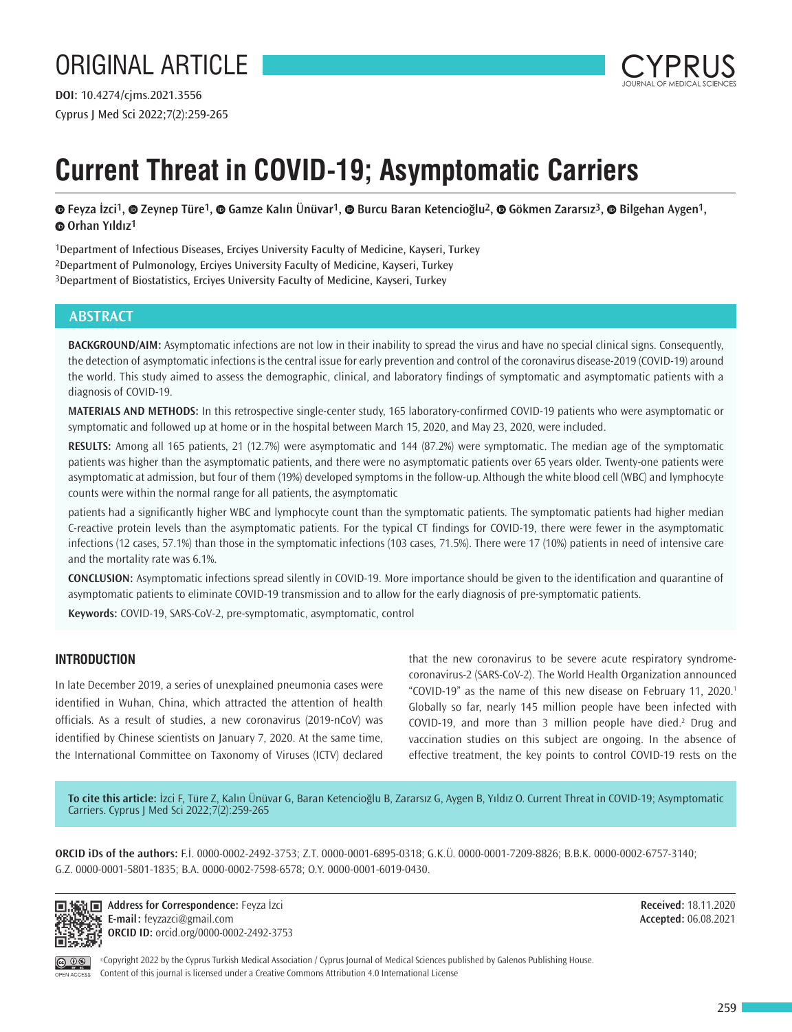

# **Current Threat in COVID-19; Asymptomatic Carriers**

**©**Feyza İzci<sup>1</sup>, © Zeynep Türe<sup>1</sup>, © Gamze Kalın Ünüvar<sup>1</sup>, © Burcu Baran Ketencioğlu<sup>2</sup>, © Gökmen Zararsız<sup>3</sup>, © Bilgehan Aygen<sup>1</sup>, **Orhan Yıldız1**

1Department of Infectious Diseases, Erciyes University Faculty of Medicine, Kayseri, Turkey 2Department of Pulmonology, Erciyes University Faculty of Medicine, Kayseri, Turkey 3Department of Biostatistics, Erciyes University Faculty of Medicine, Kayseri, Turkey

# **ABSTRACT**

**BACKGROUND/AIM:** Asymptomatic infections are not low in their inability to spread the virus and have no special clinical signs. Consequently, the detection of asymptomatic infections is the central issue for early prevention and control of the coronavirus disease-2019 (COVID-19) around the world. This study aimed to assess the demographic, clinical, and laboratory findings of symptomatic and asymptomatic patients with a diagnosis of COVID-19.

**MATERIALS AND METHODS:** In this retrospective single-center study, 165 laboratory-confirmed COVID-19 patients who were asymptomatic or symptomatic and followed up at home or in the hospital between March 15, 2020, and May 23, 2020, were included.

**RESULTS:** Among all 165 patients, 21 (12.7%) were asymptomatic and 144 (87.2%) were symptomatic. The median age of the symptomatic patients was higher than the asymptomatic patients, and there were no asymptomatic patients over 65 years older. Twenty-one patients were asymptomatic at admission, but four of them (19%) developed symptoms in the follow-up. Although the white blood cell (WBC) and lymphocyte counts were within the normal range for all patients, the asymptomatic

patients had a significantly higher WBC and lymphocyte count than the symptomatic patients. The symptomatic patients had higher median C-reactive protein levels than the asymptomatic patients. For the typical CT findings for COVID-19, there were fewer in the asymptomatic infections (12 cases, 57.1%) than those in the symptomatic infections (103 cases, 71.5%). There were 17 (10%) patients in need of intensive care and the mortality rate was 6.1%.

**CONCLUSION:** Asymptomatic infections spread silently in COVID-19. More importance should be given to the identification and quarantine of asymptomatic patients to eliminate COVID-19 transmission and to allow for the early diagnosis of pre-symptomatic patients.

**Keywords:** COVID-19, SARS-CoV-2, pre-symptomatic, asymptomatic, control

# **INTRODUCTION**

In late December 2019, a series of unexplained pneumonia cases were identified in Wuhan, China, which attracted the attention of health officials. As a result of studies, a new coronavirus (2019-nCoV) was identified by Chinese scientists on January 7, 2020. At the same time, the International Committee on Taxonomy of Viruses (ICTV) declared

that the new coronavirus to be severe acute respiratory syndromecoronavirus-2 (SARS-CoV-2). The World Health Organization announced "COVID-19" as the name of this new disease on February 11, 2020.<sup>1</sup> Globally so far, nearly 145 million people have been infected with COVID-19, and more than 3 million people have died.<sup>2</sup> Drug and vaccination studies on this subject are ongoing. In the absence of effective treatment, the key points to control COVID-19 rests on the

**To cite this article:** İzci F, Türe Z, Kalın Ünüvar G, Baran Ketencioğlu B, Zararsız G, Aygen B, Yıldız O. Current Threat in COVID-19; Asymptomatic Carriers. Cyprus J Med Sci 2022;7(2):259-265

**ORCID iDs of the authors:** F.İ. 0000-0002-2492-3753; Z.T. 0000-0001-6895-0318; G.K.Ü. 0000-0001-7209-8826; B.B.K. 0000-0002-6757-3140; G.Z. 0000-0001-5801-1835; B.A. 0000-0002-7598-6578; O.Y. 0000-0001-6019-0430.



**Address for Correspondence:** Feyza İzci **E-mail:** feyzazci@gmail.com **ORCID ID:** orcid.org/0000-0002-2492-3753

**Received:** 18.11.2020 **Accepted:** 06.08.2021

OPEN ACCESS

©Copyright 2022 by the Cyprus Turkish Medical Association / Cyprus Journal of Medical Sciences published by Galenos Publishing House. Content of this journal is licensed under a Creative Commons Attribution 4.0 International License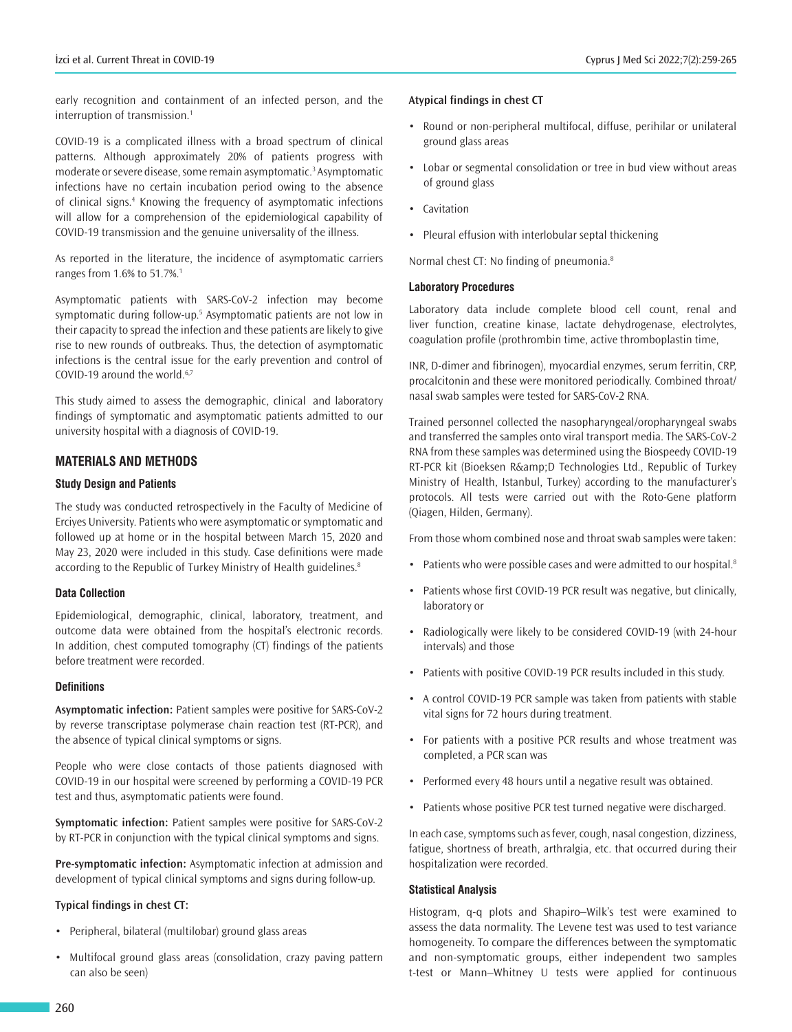early recognition and containment of an infected person, and the interruption of transmission.<sup>1</sup>

COVID-19 is a complicated illness with a broad spectrum of clinical patterns. Although approximately 20% of patients progress with moderate or severe disease, some remain asymptomatic.<sup>3</sup> Asymptomatic infections have no certain incubation period owing to the absence of clinical signs.<sup>4</sup> Knowing the frequency of asymptomatic infections will allow for a comprehension of the epidemiological capability of COVID-19 transmission and the genuine universality of the illness.

As reported in the literature, the incidence of asymptomatic carriers ranges from 1.6% to 51.7%.<sup>1</sup>

Asymptomatic patients with SARS-CoV-2 infection may become symptomatic during follow-up.<sup>5</sup> Asymptomatic patients are not low in their capacity to spread the infection and these patients are likely to give rise to new rounds of outbreaks. Thus, the detection of asymptomatic infections is the central issue for the early prevention and control of COVID-19 around the world.<sup>6,7</sup>

This study aimed to assess the demographic, clinical and laboratory findings of symptomatic and asymptomatic patients admitted to our university hospital with a diagnosis of COVID-19.

# **MATERIALS AND METHODS**

#### **Study Design and Patients**

The study was conducted retrospectively in the Faculty of Medicine of Erciyes University. Patients who were asymptomatic or symptomatic and followed up at home or in the hospital between March 15, 2020 and May 23, 2020 were included in this study. Case definitions were made according to the Republic of Turkey Ministry of Health guidelines.<sup>8</sup>

## **Data Collection**

Epidemiological, demographic, clinical, laboratory, treatment, and outcome data were obtained from the hospital's electronic records. In addition, chest computed tomography (CT) findings of the patients before treatment were recorded.

#### **Definitions**

**Asymptomatic infection:** Patient samples were positive for SARS-CoV-2 by reverse transcriptase polymerase chain reaction test (RT-PCR), and the absence of typical clinical symptoms or signs.

People who were close contacts of those patients diagnosed with COVID-19 in our hospital were screened by performing a COVID-19 PCR test and thus, asymptomatic patients were found.

**Symptomatic infection:** Patient samples were positive for SARS-CoV-2 by RT-PCR in conjunction with the typical clinical symptoms and signs.

**Pre-symptomatic infection:** Asymptomatic infection at admission and development of typical clinical symptoms and signs during follow-up.

#### **Typical findings in chest CT:**

- Peripheral, bilateral (multilobar) ground glass areas
- Multifocal ground glass areas (consolidation, crazy paving pattern can also be seen)

## **Atypical findings in chest CT**

- Round or non-peripheral multifocal, diffuse, perihilar or unilateral ground glass areas
- Lobar or segmental consolidation or tree in bud view without areas of ground glass
- Cavitation
- Pleural effusion with interlobular septal thickening

Normal chest CT: No finding of pneumonia.<sup>8</sup>

#### **Laboratory Procedures**

Laboratory data include complete blood cell count, renal and liver function, creatine kinase, lactate dehydrogenase, electrolytes, coagulation profile (prothrombin time, active thromboplastin time,

INR, D-dimer and fibrinogen), myocardial enzymes, serum ferritin, CRP, procalcitonin and these were monitored periodically. Combined throat/ nasal swab samples were tested for SARS-CoV-2 RNA.

Trained personnel collected the nasopharyngeal/oropharyngeal swabs and transferred the samples onto viral transport media. The SARS-CoV-2 RNA from these samples was determined using the Biospeedy COVID-19 RT-PCR kit (Bioeksen R&D Technologies Ltd., Republic of Turkey Ministry of Health, Istanbul, Turkey) according to the manufacturer's protocols. All tests were carried out with the Roto-Gene platform (Qiagen, Hilden, Germany).

From those whom combined nose and throat swab samples were taken:

- Patients who were possible cases and were admitted to our hospital.<sup>8</sup>
- Patients whose first COVID-19 PCR result was negative, but clinically, laboratory or
- Radiologically were likely to be considered COVID-19 (with 24-hour intervals) and those
- Patients with positive COVID-19 PCR results included in this study.
- A control COVID-19 PCR sample was taken from patients with stable vital signs for 72 hours during treatment.
- For patients with a positive PCR results and whose treatment was completed, a PCR scan was
- Performed every 48 hours until a negative result was obtained.
- Patients whose positive PCR test turned negative were discharged.

In each case, symptoms such as fever, cough, nasal congestion, dizziness, fatigue, shortness of breath, arthralgia, etc. that occurred during their hospitalization were recorded.

#### **Statistical Analysis**

Histogram, q-q plots and Shapiro–Wilk's test were examined to assess the data normality. The Levene test was used to test variance homogeneity. To compare the differences between the symptomatic and non-symptomatic groups, either independent two samples t-test or Mann–Whitney U tests were applied for continuous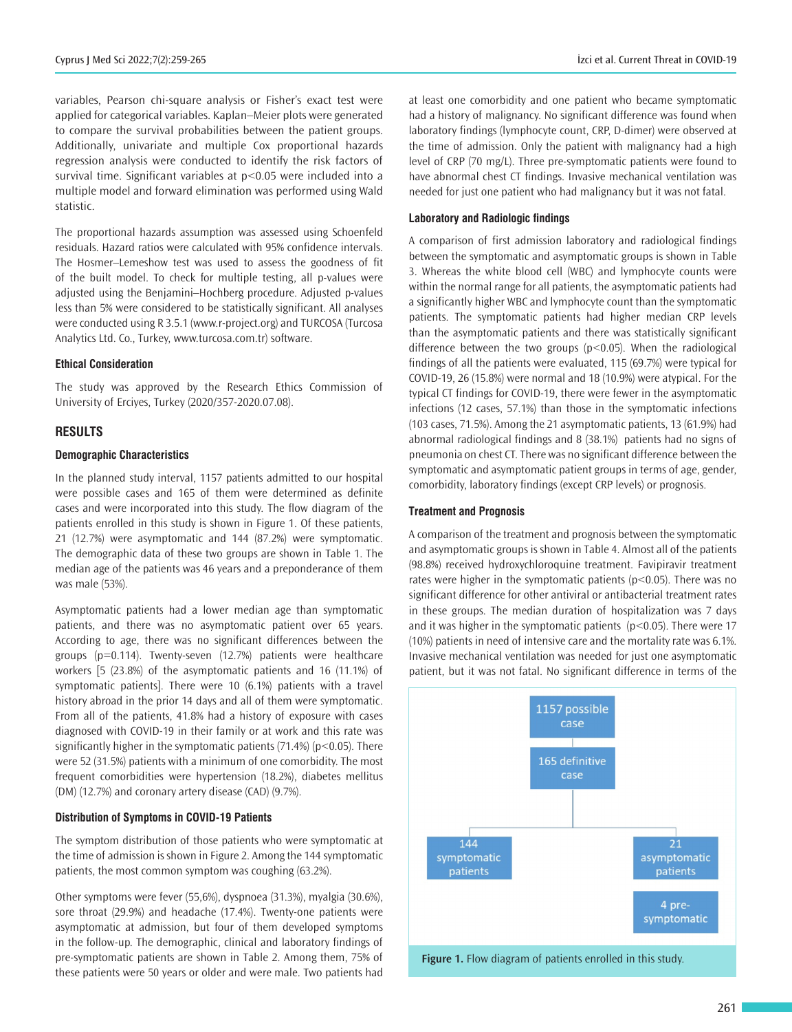variables, Pearson chi-square analysis or Fisher's exact test were applied for categorical variables. Kaplan–Meier plots were generated to compare the survival probabilities between the patient groups. Additionally, univariate and multiple Cox proportional hazards regression analysis were conducted to identify the risk factors of survival time. Significant variables at p<0.05 were included into a multiple model and forward elimination was performed using Wald statistic.

The proportional hazards assumption was assessed using Schoenfeld residuals. Hazard ratios were calculated with 95% confidence intervals. The Hosmer–Lemeshow test was used to assess the goodness of fit of the built model. To check for multiple testing, all p-values were adjusted using the Benjamini–Hochberg procedure. Adjusted p*-*values less than 5% were considered to be statistically significant. All analyses were conducted using R 3.5.1 (www.r-project.org) and TURCOSA (Turcosa Analytics Ltd. Co., Turkey, www.turcosa.com.tr) software.

#### **Ethical Consideration**

The study was approved by the Research Ethics Commission of University of Erciyes, Turkey (2020/357-2020.07.08).

## **RESULTS**

#### **Demographic Characteristics**

In the planned study interval, 1157 patients admitted to our hospital were possible cases and 165 of them were determined as definite cases and were incorporated into this study. The flow diagram of the patients enrolled in this study is shown in Figure 1. Of these patients, 21 (12.7%) were asymptomatic and 144 (87.2%) were symptomatic. The demographic data of these two groups are shown in Table 1. The median age of the patients was 46 years and a preponderance of them was male (53%).

Asymptomatic patients had a lower median age than symptomatic patients, and there was no asymptomatic patient over 65 years. According to age, there was no significant differences between the groups (p=0.114). Twenty-seven (12.7%) patients were healthcare workers [5 (23.8%) of the asymptomatic patients and 16 (11.1%) of symptomatic patients]. There were 10 (6.1%) patients with a travel history abroad in the prior 14 days and all of them were symptomatic. From all of the patients, 41.8% had a history of exposure with cases diagnosed with COVID-19 in their family or at work and this rate was significantly higher in the symptomatic patients  $(71.4%)$  ( $p<0.05$ ). There were 52 (31.5%) patients with a minimum of one comorbidity. The most frequent comorbidities were hypertension (18.2%), diabetes mellitus (DM) (12.7%) and coronary artery disease (CAD) (9.7%).

#### **Distribution of Symptoms in COVID-19 Patients**

The symptom distribution of those patients who were symptomatic at the time of admission is shown in Figure 2. Among the 144 symptomatic patients, the most common symptom was coughing (63.2%).

Other symptoms were fever (55,6%), dyspnoea (31.3%), myalgia (30.6%), sore throat (29.9%) and headache (17.4%). Twenty-one patients were asymptomatic at admission, but four of them developed symptoms in the follow-up. The demographic, clinical and laboratory findings of pre-symptomatic patients are shown in Table 2. Among them, 75% of these patients were 50 years or older and were male. Two patients had

at least one comorbidity and one patient who became symptomatic had a history of malignancy. No significant difference was found when laboratory findings (lymphocyte count, CRP, D-dimer) were observed at the time of admission. Only the patient with malignancy had a high level of CRP (70 mg/L). Three pre-symptomatic patients were found to have abnormal chest CT findings. Invasive mechanical ventilation was needed for just one patient who had malignancy but it was not fatal.

#### **Laboratory and Radiologic findings**

A comparison of first admission laboratory and radiological findings between the symptomatic and asymptomatic groups is shown in Table 3. Whereas the white blood cell (WBC) and lymphocyte counts were within the normal range for all patients, the asymptomatic patients had a significantly higher WBC and lymphocyte count than the symptomatic patients. The symptomatic patients had higher median CRP levels than the asymptomatic patients and there was statistically significant difference between the two groups (p<0.05). When the radiological findings of all the patients were evaluated, 115 (69.7%) were typical for COVID-19, 26 (15.8%) were normal and 18 (10.9%) were atypical. For the typical CT findings for COVID-19, there were fewer in the asymptomatic infections (12 cases, 57.1%) than those in the symptomatic infections (103 cases, 71.5%). Among the 21 asymptomatic patients, 13 (61.9%) had abnormal radiological findings and 8 (38.1%) patients had no signs of pneumonia on chest CT. There was no significant difference between the symptomatic and asymptomatic patient groups in terms of age, gender, comorbidity, laboratory findings (except CRP levels) or prognosis.

#### **Treatment and Prognosis**

A comparison of the treatment and prognosis between the symptomatic and asymptomatic groups is shown in Table 4. Almost all of the patients (98.8%) received hydroxychloroquine treatment. Favipiravir treatment rates were higher in the symptomatic patients (p<0.05). There was no significant difference for other antiviral or antibacterial treatment rates in these groups. The median duration of hospitalization was 7 days and it was higher in the symptomatic patients (p<0.05). There were 17 (10%) patients in need of intensive care and the mortality rate was 6.1%. Invasive mechanical ventilation was needed for just one asymptomatic patient, but it was not fatal. No significant difference in terms of the



**Figure 1.** Flow diagram of patients enrolled in this study.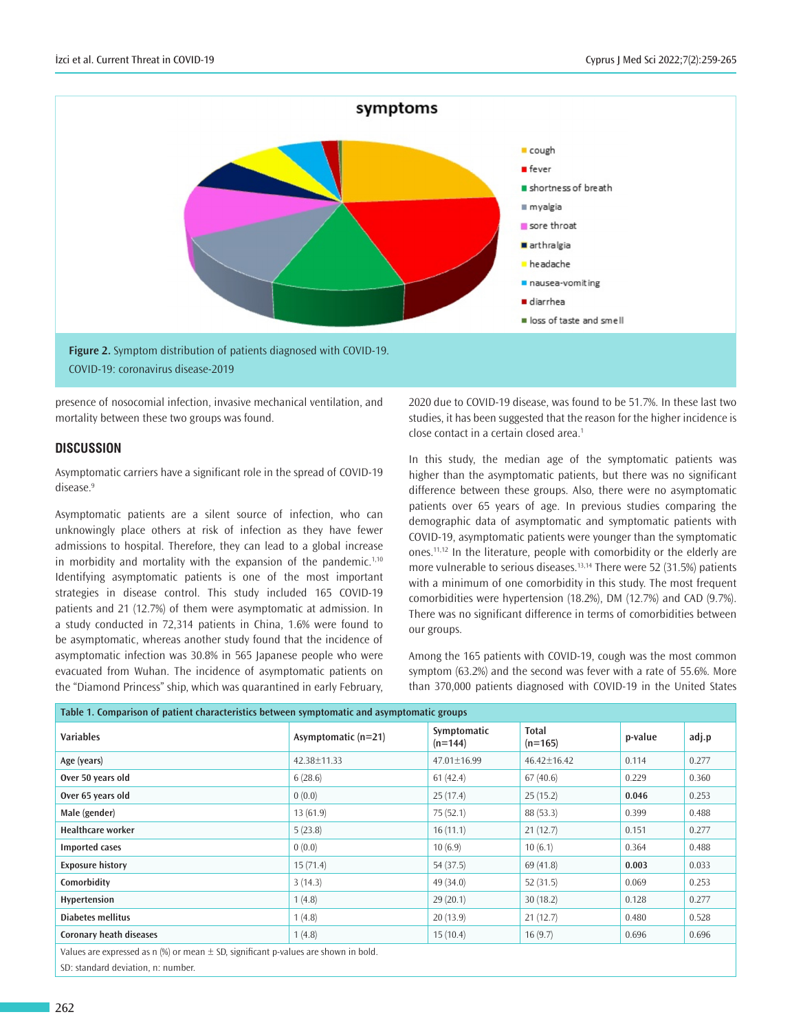

presence of nosocomial infection, invasive mechanical ventilation, and mortality between these two groups was found.

## **DISCUSSION**

Asymptomatic carriers have a significant role in the spread of COVID-19 disease.<sup>9</sup>

Asymptomatic patients are a silent source of infection, who can unknowingly place others at risk of infection as they have fewer admissions to hospital. Therefore, they can lead to a global increase in morbidity and mortality with the expansion of the pandemic.<sup>1,10</sup> Identifying asymptomatic patients is one of the most important strategies in disease control. This study included 165 COVID-19 patients and 21 (12.7%) of them were asymptomatic at admission. In a study conducted in 72,314 patients in China, 1.6% were found to be asymptomatic, whereas another study found that the incidence of asymptomatic infection was 30.8% in 565 Japanese people who were evacuated from Wuhan. The incidence of asymptomatic patients on the "Diamond Princess" ship, which was quarantined in early February,

2020 due to COVID-19 disease, was found to be 51.7%. In these last two studies, it has been suggested that the reason for the higher incidence is close contact in a certain closed area.<sup>1</sup>

In this study, the median age of the symptomatic patients was higher than the asymptomatic patients, but there was no significant difference between these groups. Also, there were no asymptomatic patients over 65 years of age. In previous studies comparing the demographic data of asymptomatic and symptomatic patients with COVID-19, asymptomatic patients were younger than the symptomatic ones.11,12 In the literature, people with comorbidity or the elderly are more vulnerable to serious diseases.13,14 There were 52 (31.5%) patients with a minimum of one comorbidity in this study. The most frequent comorbidities were hypertension (18.2%), DM (12.7%) and CAD (9.7%). There was no significant difference in terms of comorbidities between our groups.

Among the 165 patients with COVID-19, cough was the most common symptom (63.2%) and the second was fever with a rate of 55.6%. More than 370,000 patients diagnosed with COVID-19 in the United States

| Table 1. Comparison of patient characteristics between symptomatic and asymptomatic groups |                       |                          |                           |         |       |  |  |  |  |
|--------------------------------------------------------------------------------------------|-----------------------|--------------------------|---------------------------|---------|-------|--|--|--|--|
| <b>Variables</b>                                                                           | Asymptomatic $(n=21)$ | Symptomatic<br>$(n=144)$ | <b>Total</b><br>$(n=165)$ | p-value | adj.p |  |  |  |  |
| Age (years)                                                                                | 42.38±11.33           | $47.01 \pm 16.99$        | 46.42±16.42               | 0.114   | 0.277 |  |  |  |  |
| Over 50 years old                                                                          | 6(28.6)               | 61(42.4)                 | 67(40.6)                  | 0.229   | 0.360 |  |  |  |  |
| Over 65 years old                                                                          | 0(0.0)                | 25(17.4)                 | 25(15.2)                  | 0.046   | 0.253 |  |  |  |  |
| Male (gender)                                                                              | 13(61.9)              | 75(52.1)                 | 88 (53.3)                 | 0.399   | 0.488 |  |  |  |  |
| <b>Healthcare worker</b>                                                                   | 5(23.8)               | 16(11.1)                 | 21(12.7)                  | 0.151   | 0.277 |  |  |  |  |
| <b>Imported cases</b>                                                                      | 0(0.0)                | 10(6.9)                  | 10(6.1)                   | 0.364   | 0.488 |  |  |  |  |
| <b>Exposure history</b>                                                                    | 15(71.4)              | 54 (37.5)                | 69 (41.8)                 | 0.003   | 0.033 |  |  |  |  |
| Comorbidity                                                                                | 3(14.3)               | 49 (34.0)                | 52(31.5)                  | 0.069   | 0.253 |  |  |  |  |
| Hypertension                                                                               | 1(4.8)                | 29(20.1)                 | 30(18.2)                  | 0.128   | 0.277 |  |  |  |  |
| Diabetes mellitus                                                                          | 1(4.8)                | 20(13.9)                 | 21(12.7)                  | 0.480   | 0.528 |  |  |  |  |
| <b>Coronary heath diseases</b>                                                             | 1(4.8)                | 15(10.4)                 | 16(9.7)                   | 0.696   | 0.696 |  |  |  |  |
| Values are expressed as $n$ (%) or mean $\pm$ SD, significant p-values are shown in bold.  |                       |                          |                           |         |       |  |  |  |  |

SD: standard deviation, n: number.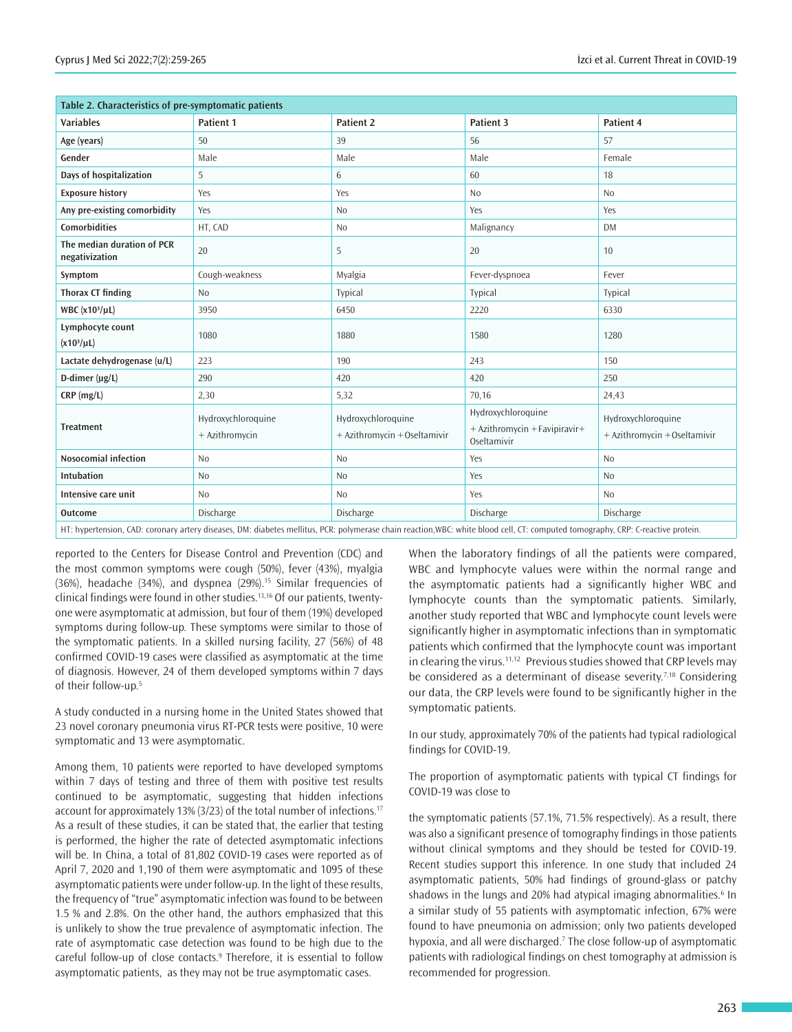| Table 2. Characteristics of pre-symptomatic patients |                                      |                                                    |                                                                    |                                                    |  |  |  |
|------------------------------------------------------|--------------------------------------|----------------------------------------------------|--------------------------------------------------------------------|----------------------------------------------------|--|--|--|
| <b>Variables</b>                                     | Patient 1                            | Patient 2                                          | Patient 3                                                          | Patient 4                                          |  |  |  |
| Age (years)                                          | 50                                   | 39                                                 | 56                                                                 | 57                                                 |  |  |  |
| Gender                                               | Male                                 | Male                                               | Male                                                               | Female                                             |  |  |  |
| Days of hospitalization                              | 5                                    | 6                                                  | 60                                                                 | 18                                                 |  |  |  |
| <b>Exposure history</b>                              | Yes                                  | Yes                                                | N <sub>0</sub>                                                     | No                                                 |  |  |  |
| Any pre-existing comorbidity                         | Yes                                  | No                                                 | Yes                                                                | Yes                                                |  |  |  |
| <b>Comorbidities</b>                                 | HT, CAD                              | N <sub>o</sub>                                     | Malignancy                                                         | <b>DM</b>                                          |  |  |  |
| The median duration of PCR<br>negativization         | 20                                   | 5                                                  | 20                                                                 | 10                                                 |  |  |  |
| Symptom                                              | Cough-weakness                       | Myalgia                                            | Fever-dyspnoea                                                     | Fever                                              |  |  |  |
| <b>Thorax CT finding</b>                             | <b>No</b>                            | Typical                                            | Typical                                                            | Typical                                            |  |  |  |
| WBC $(x103/\mu L)$                                   | 3950                                 | 6450                                               | 2220                                                               | 6330                                               |  |  |  |
| Lymphocyte count<br>$(x10^3/\mu L)$                  | 1080                                 | 1880                                               | 1580                                                               | 1280                                               |  |  |  |
| Lactate dehydrogenase (u/L)                          | 223                                  | 190                                                | 243                                                                | 150                                                |  |  |  |
| D-dimer $(\mu g/L)$                                  | 290                                  | 420                                                | 420                                                                | 250                                                |  |  |  |
| CRP (mg/L)                                           | 2,30                                 | 5,32                                               | 70,16                                                              | 24,43                                              |  |  |  |
| <b>Treatment</b>                                     | Hydroxychloroquine<br>+ Azithromycin | Hydroxychloroquine<br>+ Azithromycin + Oseltamivir | Hydroxychloroquine<br>+ Azithromycin + Favipiravir+<br>Oseltamivir | Hydroxychloroquine<br>+ Azithromycin + Oseltamivir |  |  |  |
| <b>Nosocomial infection</b>                          | No                                   | No                                                 | Yes                                                                | <b>No</b>                                          |  |  |  |
| <b>Intubation</b>                                    | No                                   | No                                                 | Yes                                                                | N <sub>0</sub>                                     |  |  |  |
| Intensive care unit                                  | <b>No</b>                            | N <sub>o</sub>                                     | Yes                                                                | <b>No</b>                                          |  |  |  |
| <b>Outcome</b>                                       | Discharge                            | Discharge                                          | Discharge                                                          | Discharge                                          |  |  |  |

HT: hypertension, CAD: coronary artery diseases, DM: diabetes mellitus, PCR: polymerase chain reaction,WBC: white blood cell, CT: computed tomography, CRP: C-reactive protein.

reported to the Centers for Disease Control and Prevention (CDC) and the most common symptoms were cough (50%), fever (43%), myalgia (36%), headache (34%), and dyspnea (29%).<sup>15</sup> Similar frequencies of clinical findings were found in other studies.13,16 Of our patients, twentyone were asymptomatic at admission, but four of them (19%) developed symptoms during follow-up. These symptoms were similar to those of the symptomatic patients. In a skilled nursing facility, 27 (56%) of 48 confirmed COVID-19 cases were classified as asymptomatic at the time of diagnosis. However, 24 of them developed symptoms within 7 days of their follow-up.<sup>5</sup>

A study conducted in a nursing home in the United States showed that 23 novel coronary pneumonia virus RT-PCR tests were positive, 10 were symptomatic and 13 were asymptomatic.

Among them, 10 patients were reported to have developed symptoms within 7 days of testing and three of them with positive test results continued to be asymptomatic, suggesting that hidden infections account for approximately 13% (3/23) of the total number of infections.<sup>17</sup> As a result of these studies, it can be stated that, the earlier that testing is performed, the higher the rate of detected asymptomatic infections will be. In China, a total of 81,802 COVID-19 cases were reported as of April 7, 2020 and 1,190 of them were asymptomatic and 1095 of these asymptomatic patients were under follow-up. In the light of these results, the frequency of "true" asymptomatic infection was found to be between 1.5 % and 2.8%. On the other hand, the authors emphasized that this is unlikely to show the true prevalence of asymptomatic infection. The rate of asymptomatic case detection was found to be high due to the careful follow-up of close contacts.<sup>9</sup> Therefore, it is essential to follow asymptomatic patients, as they may not be true asymptomatic cases.

When the laboratory findings of all the patients were compared, WBC and lymphocyte values were within the normal range and the asymptomatic patients had a significantly higher WBC and lymphocyte counts than the symptomatic patients. Similarly, another study reported that WBC and lymphocyte count levels were significantly higher in asymptomatic infections than in symptomatic patients which confirmed that the lymphocyte count was important in clearing the virus.<sup>11,12</sup> Previous studies showed that CRP levels may be considered as a determinant of disease severity.<sup> $7,18$ </sup> Considering our data, the CRP levels were found to be significantly higher in the symptomatic patients.

In our study, approximately 70% of the patients had typical radiological findings for COVID-19.

The proportion of asymptomatic patients with typical CT findings for COVID-19 was close to

the symptomatic patients (57.1%, 71.5% respectively). As a result, there was also a significant presence of tomography findings in those patients without clinical symptoms and they should be tested for COVID-19. Recent studies support this inference. In one study that included 24 asymptomatic patients, 50% had findings of ground-glass or patchy shadows in the lungs and 20% had atypical imaging abnormalities.<sup>6</sup> In a similar study of 55 patients with asymptomatic infection, 67% were found to have pneumonia on admission; only two patients developed hypoxia, and all were discharged.<sup>7</sup> The close follow-up of asymptomatic patients with radiological findings on chest tomography at admission is recommended for progression.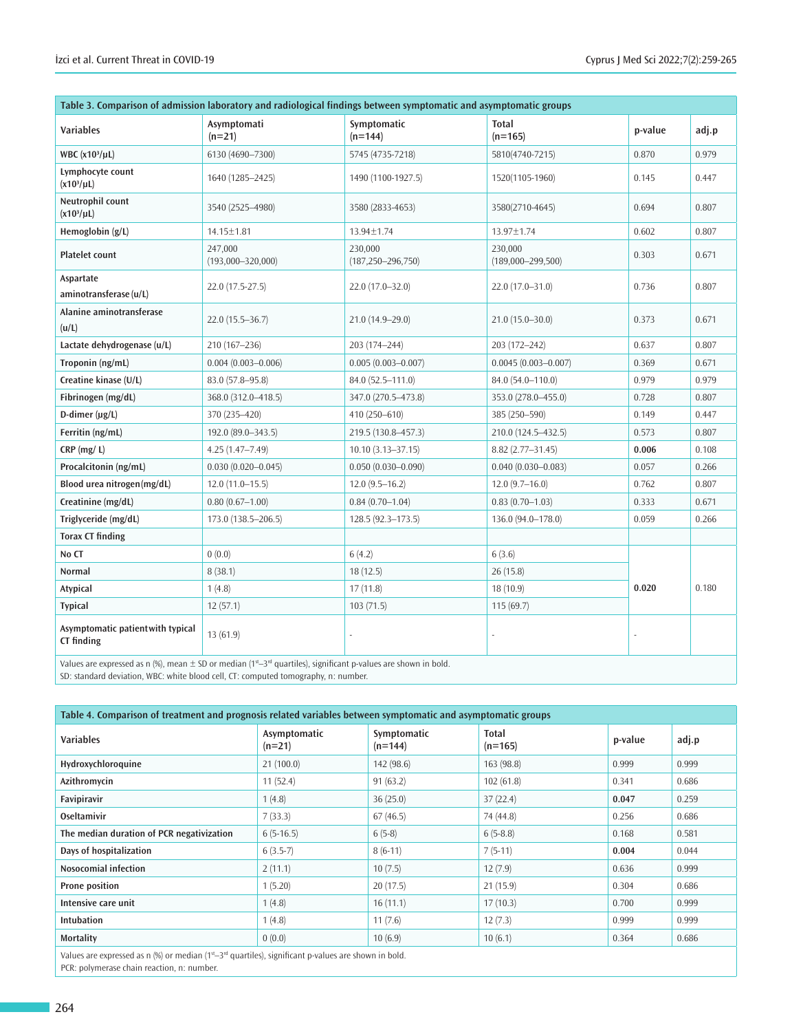| Table 3. Comparison of admission laboratory and radiological findings between symptomatic and asymptomatic groups                                                                    |                                  |                                    |                                  |         |       |  |  |  |
|--------------------------------------------------------------------------------------------------------------------------------------------------------------------------------------|----------------------------------|------------------------------------|----------------------------------|---------|-------|--|--|--|
| <b>Variables</b>                                                                                                                                                                     | Asymptomati<br>$(n=21)$          | Symptomatic<br>$(n=144)$           | <b>Total</b><br>$(n=165)$        | p-value | adj.p |  |  |  |
| WBC (x10 <sup>3</sup> /µL)                                                                                                                                                           | 6130 (4690-7300)                 | 5745 (4735-7218)                   | 5810(4740-7215)                  | 0.870   | 0.979 |  |  |  |
| Lymphocyte count<br>$(x10^3/µL)$                                                                                                                                                     | 1640 (1285-2425)                 | 1490 (1100-1927.5)                 | 1520(1105-1960)                  | 0.145   | 0.447 |  |  |  |
| Neutrophil count<br>$(x10^3/\mu L)$                                                                                                                                                  | 3540 (2525-4980)                 | 3580 (2833-4653)                   | 3580(2710-4645)                  | 0.694   | 0.807 |  |  |  |
| Hemoglobin (g/L)                                                                                                                                                                     | 14.15±1.81                       | 13.94±1.74                         | 13.97±1.74                       | 0.602   | 0.807 |  |  |  |
| <b>Platelet count</b>                                                                                                                                                                | 247,000<br>$(193,000 - 320,000)$ | 230,000<br>$(187, 250 - 296, 750)$ | 230.000<br>$(189,000 - 299,500)$ | 0.303   | 0.671 |  |  |  |
| Aspartate<br>aminotransferase (u/L)                                                                                                                                                  | 22.0 (17.5-27.5)                 | 22.0 (17.0-32.0)                   | 22.0 (17.0-31.0)                 | 0.736   | 0.807 |  |  |  |
| Alanine aminotransferase<br>(u/L)                                                                                                                                                    | 22.0 (15.5-36.7)                 | 21.0 (14.9-29.0)                   | $21.0(15.0 - 30.0)$              | 0.373   | 0.671 |  |  |  |
| Lactate dehydrogenase (u/L)                                                                                                                                                          | 210 (167-236)                    | 203 (174-244)                      | 203 (172-242)                    | 0.637   | 0.807 |  |  |  |
| Troponin (ng/mL)                                                                                                                                                                     | $0.004$ $(0.003 - 0.006)$        | $0.005(0.003 - 0.007)$             | $0.0045(0.003 - 0.007)$          | 0.369   | 0.671 |  |  |  |
| Creatine kinase (U/L)                                                                                                                                                                | 83.0 (57.8-95.8)                 | 84.0 (52.5-111.0)                  | 84.0 (54.0-110.0)                | 0.979   | 0.979 |  |  |  |
| Fibrinogen (mg/dL)                                                                                                                                                                   | 368.0 (312.0-418.5)              | 347.0 (270.5-473.8)                | 353.0 (278.0-455.0)              | 0.728   | 0.807 |  |  |  |
| $D$ -dimer ( $\mu$ g/L)                                                                                                                                                              | 370 (235-420)                    | 410 (250-610)                      | 385 (250-590)                    | 0.149   | 0.447 |  |  |  |
| Ferritin (ng/mL)                                                                                                                                                                     | 192.0 (89.0-343.5)               | 219.5 (130.8-457.3)                | 210.0 (124.5-432.5)              | 0.573   | 0.807 |  |  |  |
| $CRP$ (mg/L)                                                                                                                                                                         | $4.25(1.47 - 7.49)$              | $10.10(3.13 - 37.15)$              | $8.82(2.77 - 31.45)$             | 0.006   | 0.108 |  |  |  |
| Procalcitonin (ng/mL)                                                                                                                                                                | $0.030(0.020 - 0.045)$           | $0.050(0.030 - 0.090)$             | $0.040(0.030 - 0.083)$           | 0.057   | 0.266 |  |  |  |
| Blood urea nitrogen(mg/dL)                                                                                                                                                           | $12.0(11.0-15.5)$                | $12.0(9.5-16.2)$                   | $12.0(9.7-16.0)$                 | 0.762   | 0.807 |  |  |  |
| Creatinine (mg/dL)                                                                                                                                                                   | $0.80(0.67 - 1.00)$              | $0.84(0.70 - 1.04)$                | $0.83(0.70 - 1.03)$              | 0.333   | 0.671 |  |  |  |
| Triglyceride (mg/dL)                                                                                                                                                                 | 173.0 (138.5-206.5)              | $128.5(92.3 - 173.5)$              | 136.0 (94.0-178.0)               | 0.059   | 0.266 |  |  |  |
| <b>Torax CT finding</b>                                                                                                                                                              |                                  |                                    |                                  |         |       |  |  |  |
| No CT                                                                                                                                                                                | 0(0.0)                           | 6(4.2)                             | 6(3.6)                           |         | 0.180 |  |  |  |
| Normal                                                                                                                                                                               | 8(38.1)                          | 18(12.5)                           | 26(15.8)                         |         |       |  |  |  |
| Atypical                                                                                                                                                                             | 1(4.8)                           | 17(11.8)                           | 18(10.9)                         | 0.020   |       |  |  |  |
| <b>Typical</b>                                                                                                                                                                       | 12(57.1)                         | 103(71.5)                          | 115 (69.7)                       |         |       |  |  |  |
| Asymptomatic patientwith typical<br>CT finding<br>Values are expressed as $n \frac{1}{6}$ mean $\pm$ SD or median $(1^{st}-3^{rd}$ quartiles) significant p-values are shown in hold | 13 (61.9)                        |                                    |                                  |         |       |  |  |  |

Values are expressed as n (%), mean  $\pm$  SD or median (1st–3rd quartiles), significant p-values are shown in bold. SD: standard deviation, WBC: white blood cell, CT: computed tomography, n: number.

**Table 4. Comparison of treatment and prognosis related variables between symptomatic and asymptomatic groups Variables Asymptomatic (n=21) Symptomatic (n=144) Total (n=165) p-value adj.p Hydroxychloroquine** 21 (100.0) 142 (98.6) 163 (98.8) 163 (98.8) 0.999 0.999 0.999 **Azithromycin** 11 (52.4) 91 (63.2) 102 (61.8) 0.341 0.686 **Favipiravir 1** (4.8) **1** (4.8) **1** (4.8) **1** (36) **1** (25.0) **1** (37) **1** (22.4) **1 1 0.047 0.259 Oseltamivir** 7 (33.3) 67 (46.5) 74 (44.8) 0.256 0.686 **The median duration of PCR negativization** 6 (5-16.5) 6 (5-8) 6 (5-8) 6 (5-8.8) 0.168 0.581 **Days of hospitalization 6 (3.5-7) 8 (6-11) 7 (5-11) 1** (5.004 0.004 0.004 **Nosocomial infection** 2 (11.1) 10 (7.5) 12 (7.9) 12 (7.9) 0.636 0.999 **Prone position** 1 (5.20) 20 (17.5) 20 (17.5) 21 (15.9) 20 (17.5) 21 (15.9) 21 (15.9) 21 (15.9) 21 (15.9) 21 (15.9) 21 (15.9) 21 (15.9) 21 (15.9) 21 (15.9) 21 (15.9) 21 (15.9) 21 (15.9) 21 (15.9) 21 (15.9) 21 (15.9) 21 (15 **Intensive care unit** 1 (4.8) 16 (11.1) 17 (10.3) 17 (10.3) 0.700 0.999 **Intubation** 1 (4.8) 11 (7.6) 12 (7.3) 0.999 0.999 0.999 **Mortality** 0 (0.0) 10 (6.9) 10 (6.9) 10 (6.1) 10 (6.1) 10 (6.1) 10 (6.1) 10 (6.1)

Values are expressed as n (%) or median ( $1^{st}$ – $3^{rd}$  quartiles), significant p-values are shown in bold. PCR: polymerase chain reaction, n: number.